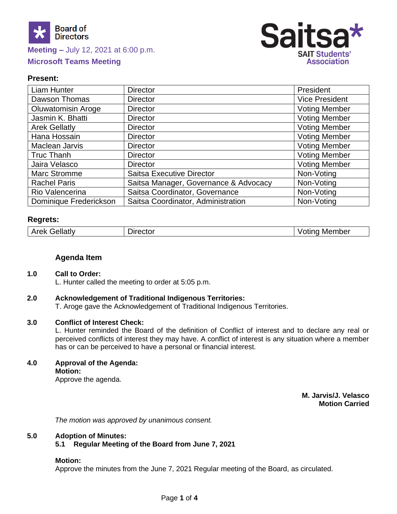

# **Meeting –** July 12, 2021 at 6:00 p.m.

# **Microsoft Teams Meeting**



# **Present:**

| <b>Liam Hunter</b>        | <b>Director</b>                       | President             |
|---------------------------|---------------------------------------|-----------------------|
| Dawson Thomas             | <b>Director</b>                       | <b>Vice President</b> |
| <b>Oluwatomisin Aroge</b> | <b>Director</b>                       | <b>Voting Member</b>  |
| Jasmin K. Bhatti          | <b>Director</b>                       | <b>Voting Member</b>  |
| <b>Arek Gellatly</b>      | <b>Director</b>                       | <b>Voting Member</b>  |
| Hana Hossain              | <b>Director</b>                       | <b>Voting Member</b>  |
| Maclean Jarvis            | <b>Director</b>                       | <b>Voting Member</b>  |
| <b>Truc Thanh</b>         | <b>Director</b>                       | <b>Voting Member</b>  |
| Jaira Velasco             | <b>Director</b>                       | <b>Voting Member</b>  |
| <b>Marc Stromme</b>       | <b>Saitsa Executive Director</b>      | Non-Voting            |
| <b>Rachel Paris</b>       | Saitsa Manager, Governance & Advocacy | Non-Voting            |
| Rio Valencerina           | Saitsa Coordinator, Governance        | Non-Voting            |
| Dominique Frederickson    | Saitsa Coordinator, Administration    | Non-Voting            |

#### **Regrets:**

|  | .+n<br>Arek<br>_____ | . | .<br><b>Membe</b><br>$\sim$ $\sim$ |
|--|----------------------|---|------------------------------------|
|--|----------------------|---|------------------------------------|

#### **Agenda Item**

#### **1.0 Call to Order:**

L. Hunter called the meeting to order at 5:05 p.m.

#### **2.0 Acknowledgement of Traditional Indigenous Territories:**

T. Aroge gave the Acknowledgement of Traditional Indigenous Territories.

#### **3.0 Conflict of Interest Check:**

L. Hunter reminded the Board of the definition of Conflict of interest and to declare any real or perceived conflicts of interest they may have. A conflict of interest is any situation where a member has or can be perceived to have a personal or financial interest.

**4.0 Approval of the Agenda: Motion:**

Approve the agenda.

**M. Jarvis/J. Velasco Motion Carried**

 *The motion was approved by unanimous consent.*

#### **5.0 Adoption of Minutes:**

**5.1 Regular Meeting of the Board from June 7, 2021**

#### **Motion:**

Approve the minutes from the June 7, 2021 Regular meeting of the Board, as circulated.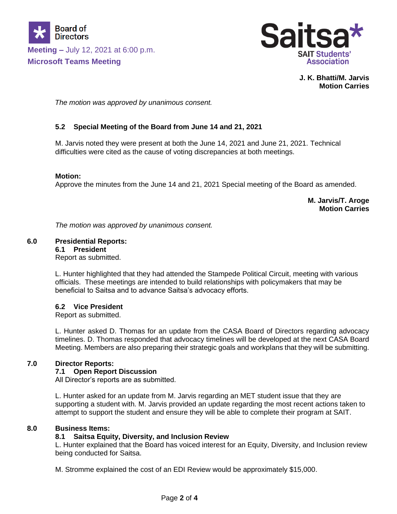



**J. K. Bhatti/M. Jarvis Motion Carries**

 *The motion was approved by unanimous consent.*

# **5.2 Special Meeting of the Board from June 14 and 21, 2021**

M. Jarvis noted they were present at both the June 14, 2021 and June 21, 2021. Technical difficulties were cited as the cause of voting discrepancies at both meetings.

#### **Motion:**

Approve the minutes from the June 14 and 21, 2021 Special meeting of the Board as amended.

**M. Jarvis/T. Aroge Motion Carries**

*The motion was approved by unanimous consent.*

#### **6.0 Presidential Reports:**

**6.1 President**

Report as submitted.

L. Hunter highlighted that they had attended the Stampede Political Circuit, meeting with various officials. These meetings are intended to build relationships with policymakers that may be beneficial to Saitsa and to advance Saitsa's advocacy efforts.

#### **6.2 Vice President**

Report as submitted.

L. Hunter asked D. Thomas for an update from the CASA Board of Directors regarding advocacy timelines. D. Thomas responded that advocacy timelines will be developed at the next CASA Board Meeting. Members are also preparing their strategic goals and workplans that they will be submitting.

# **7.0 Director Reports:**

#### **7.1 Open Report Discussion**

All Director's reports are as submitted.

L. Hunter asked for an update from M. Jarvis regarding an MET student issue that they are supporting a student with. M. Jarvis provided an update regarding the most recent actions taken to attempt to support the student and ensure they will be able to complete their program at SAIT.

# **8.0 Business Items:**

# **8.1 Saitsa Equity, Diversity, and Inclusion Review**

L. Hunter explained that the Board has voiced interest for an Equity, Diversity, and Inclusion review being conducted for Saitsa.

M. Stromme explained the cost of an EDI Review would be approximately \$15,000.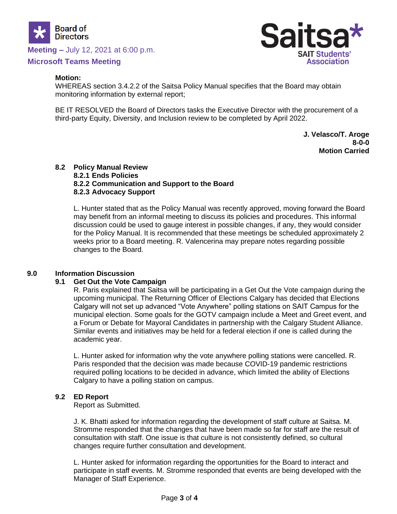

**Meeting –** July 12, 2021 at 6:00 p.m.

# **Microsoft Teams Meeting**



#### **Motion:**

WHEREAS section 3.4.2.2 of the Saitsa Policy Manual specifies that the Board may obtain monitoring information by external report;

BE IT RESOLVED the Board of Directors tasks the Executive Director with the procurement of a third-party Equity, Diversity, and Inclusion review to be completed by April 2022.

> **J. Velasco/T. Aroge 8-0-0 Motion Carried**

#### **8.2 Policy Manual Review 8.2.1 Ends Policies 8.2.2 Communication and Support to the Board 8.2.3 Advocacy Support**

L. Hunter stated that as the Policy Manual was recently approved, moving forward the Board may benefit from an informal meeting to discuss its policies and procedures. This informal discussion could be used to gauge interest in possible changes, if any, they would consider for the Policy Manual. It is recommended that these meetings be scheduled approximately 2 weeks prior to a Board meeting. R. Valencerina may prepare notes regarding possible changes to the Board.

#### **9.0 Information Discussion**

#### **9.1 Get Out the Vote Campaign**

R. Paris explained that Saitsa will be participating in a Get Out the Vote campaign during the upcoming municipal. The Returning Officer of Elections Calgary has decided that Elections Calgary will not set up advanced "Vote Anywhere" polling stations on SAIT Campus for the municipal election. Some goals for the GOTV campaign include a Meet and Greet event, and a Forum or Debate for Mayoral Candidates in partnership with the Calgary Student Alliance. Similar events and initiatives may be held for a federal election if one is called during the academic year.

L. Hunter asked for information why the vote anywhere polling stations were cancelled. R. Paris responded that the decision was made because COVID-19 pandemic restrictions required polling locations to be decided in advance, which limited the ability of Elections Calgary to have a polling station on campus.

#### **9.2 ED Report**

Report as Submitted.

J. K. Bhatti asked for information regarding the development of staff culture at Saitsa. M. Stromme responded that the changes that have been made so far for staff are the result of consultation with staff. One issue is that culture is not consistently defined, so cultural changes require further consultation and development.

L. Hunter asked for information regarding the opportunities for the Board to interact and participate in staff events. M. Stromme responded that events are being developed with the Manager of Staff Experience.